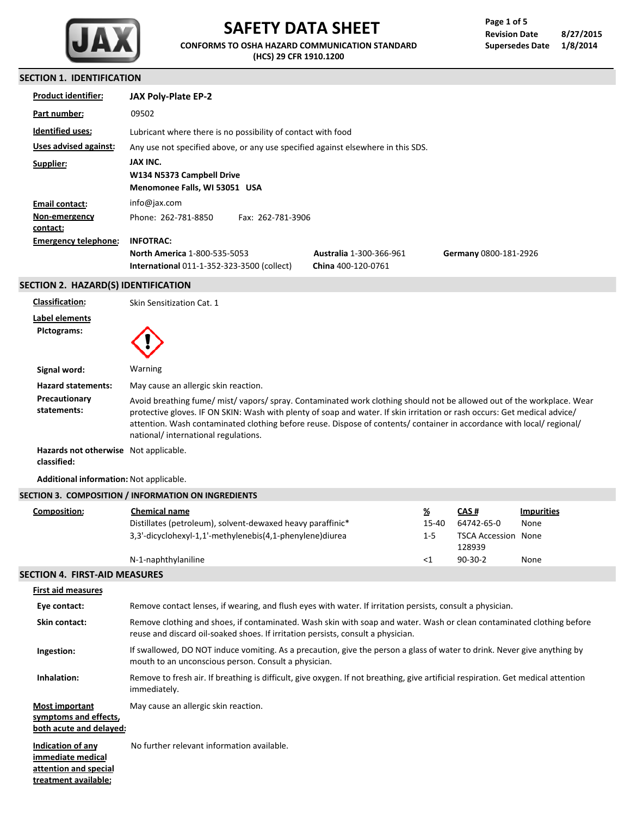

# **SAFETY DATA SHEET**

**CONFORMS TO OSHA HAZARD COMMUNICATION STANDARD (HCS) 29 CFR 1910.1200**

# **SECTION 1. IDENTIFICATION**

| <b>Product identifier:</b>          | JAX Poly-Plate EP-2                                                                      |                                                      |                       |
|-------------------------------------|------------------------------------------------------------------------------------------|------------------------------------------------------|-----------------------|
| Part number:                        | 09502                                                                                    |                                                      |                       |
| <b>Identified uses:</b>             | Lubricant where there is no possibility of contact with food                             |                                                      |                       |
| Uses advised against:               | Any use not specified above, or any use specified against elsewhere in this SDS.         |                                                      |                       |
| Supplier:                           | JAX INC.<br>W134 N5373 Campbell Drive<br>Menomonee Falls, WI 53051 USA                   |                                                      |                       |
| Email contact:                      | info@jax.com                                                                             |                                                      |                       |
| Non-emergency<br>contact:           | Fax: 262-781-3906<br>Phone: 262-781-8850                                                 |                                                      |                       |
| <b>Emergency telephone:</b>         | <b>INFOTRAC:</b>                                                                         |                                                      |                       |
|                                     | <b>North America 1-800-535-5053</b><br><b>International 011-1-352-323-3500 (collect)</b> | <b>Australia 1-300-366-961</b><br>China 400-120-0761 | Germany 0800-181-2926 |
| SECTION 2. HAZARD(S) IDENTIFICATION |                                                                                          |                                                      |                       |

| <b>Classification:</b>                               | Skin Sensitization Cat. 1                                                                                                                                                                                                                                                                                                                                                                                       |
|------------------------------------------------------|-----------------------------------------------------------------------------------------------------------------------------------------------------------------------------------------------------------------------------------------------------------------------------------------------------------------------------------------------------------------------------------------------------------------|
| Label elements<br>Pictograms:                        |                                                                                                                                                                                                                                                                                                                                                                                                                 |
| Signal word:                                         | Warning                                                                                                                                                                                                                                                                                                                                                                                                         |
| <b>Hazard statements:</b>                            | May cause an allergic skin reaction.                                                                                                                                                                                                                                                                                                                                                                            |
| Precautionary<br>statements:                         | Avoid breathing fume/mist/vapors/spray. Contaminated work clothing should not be allowed out of the workplace. Wear<br>protective gloves. IF ON SKIN: Wash with plenty of soap and water. If skin irritation or rash occurs: Get medical advice/<br>attention. Wash contaminated clothing before reuse. Dispose of contents/container in accordance with local/regional/<br>national/international regulations. |
| Hazards not otherwise Not applicable.<br>classified: |                                                                                                                                                                                                                                                                                                                                                                                                                 |

#### **Additional information:** Not applicable.

|              | SECTION 3. COMPOSITION / INFORMATION ON INGREDIENTS        |          |                                      |                   |
|--------------|------------------------------------------------------------|----------|--------------------------------------|-------------------|
| Composition: | Chemical name                                              | <u>%</u> | <b>CAS#</b>                          | <b>Impurities</b> |
|              | Distillates (petroleum), solvent-dewaxed heavy paraffinic* | 15-40    | 64742-65-0                           | None              |
|              | 3,3'-dicyclohexyl-1,1'-methylenebis(4,1-phenylene)diurea   | $1 - 5$  | <b>TSCA Accession None</b><br>128939 |                   |
|              | N-1-naphthylaniline                                        | <1       | $90-30-2$                            | None              |
|              |                                                            |          |                                      |                   |

# **SECTION 4. FIRST-AID MEASURES**

| <b>First aid measures</b>                                                               |                                                                                                                                                                                                           |
|-----------------------------------------------------------------------------------------|-----------------------------------------------------------------------------------------------------------------------------------------------------------------------------------------------------------|
| Eye contact:                                                                            | Remove contact lenses, if wearing, and flush eyes with water. If irritation persists, consult a physician.                                                                                                |
| Skin contact:                                                                           | Remove clothing and shoes, if contaminated. Wash skin with soap and water. Wash or clean contaminated clothing before<br>reuse and discard oil-soaked shoes. If irritation persists, consult a physician. |
| Ingestion:                                                                              | If swallowed, DO NOT induce vomiting. As a precaution, give the person a glass of water to drink. Never give anything by<br>mouth to an unconscious person. Consult a physician.                          |
| Inhalation:                                                                             | Remove to fresh air. If breathing is difficult, give oxygen. If not breathing, give artificial respiration. Get medical attention<br>immediately.                                                         |
| <b>Most important</b><br>symptoms and effects,<br>both acute and delayed:               | May cause an allergic skin reaction.                                                                                                                                                                      |
| Indication of any<br>immediate medical<br>attention and special<br>treatment available: | No further relevant information available.                                                                                                                                                                |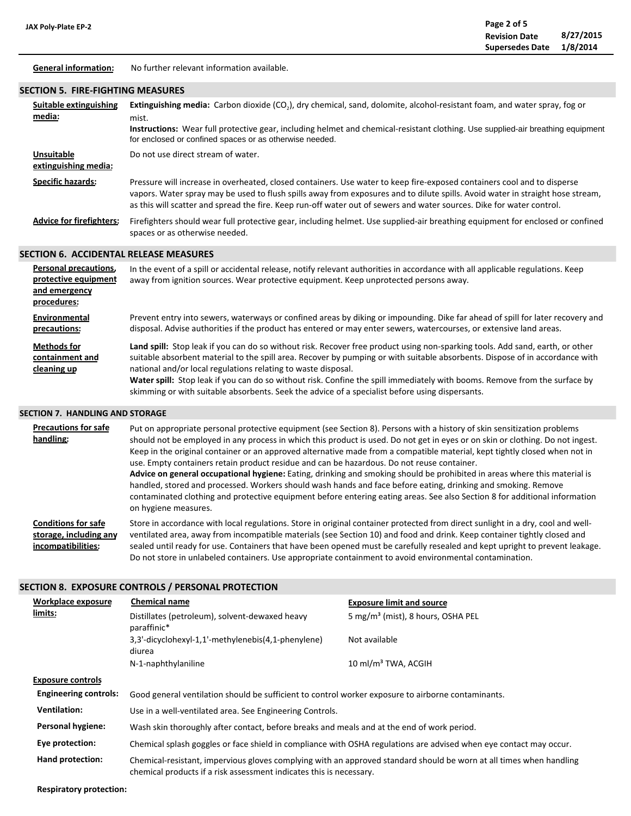**General information:** No further relevant information available.

#### **SECTION 5. FIRE-FIGHTING MEASURES**

| Suitable extinguishing<br>media:          | Extinguishing media: Carbon dioxide (CO <sub>2</sub> ), dry chemical, sand, dolomite, alcohol-resistant foam, and water spray, fog or<br>mist.<br>Instructions: Wear full protective gear, including helmet and chemical-resistant clothing. Use supplied-air breathing equipment<br>for enclosed or confined spaces or as otherwise needed.                                       |
|-------------------------------------------|------------------------------------------------------------------------------------------------------------------------------------------------------------------------------------------------------------------------------------------------------------------------------------------------------------------------------------------------------------------------------------|
| <b>Unsuitable</b><br>extinguishing media: | Do not use direct stream of water.                                                                                                                                                                                                                                                                                                                                                 |
| <b>Specific hazards:</b>                  | Pressure will increase in overheated, closed containers. Use water to keep fire-exposed containers cool and to disperse<br>vapors. Water spray may be used to flush spills away from exposures and to dilute spills. Avoid water in straight hose stream,<br>as this will scatter and spread the fire. Keep run-off water out of sewers and water sources. Dike for water control. |
| <b>Advice for firefighters:</b>           | Firefighters should wear full protective gear, including helmet. Use supplied-air breathing equipment for enclosed or confined<br>spaces or as otherwise needed.                                                                                                                                                                                                                   |

#### **SECTION 6. ACCIDENTAL RELEASE MEASURES**

| Personal precautions,<br>protective equipment<br>and emergency<br>procedures: | In the event of a spill or accidental release, notify relevant authorities in accordance with all applicable regulations. Keep<br>away from ignition sources. Wear protective equipment. Keep unprotected persons away.                                                                                                                                                                                                                                                                                                                                         |
|-------------------------------------------------------------------------------|-----------------------------------------------------------------------------------------------------------------------------------------------------------------------------------------------------------------------------------------------------------------------------------------------------------------------------------------------------------------------------------------------------------------------------------------------------------------------------------------------------------------------------------------------------------------|
| Environmental<br>precautions:                                                 | Prevent entry into sewers, waterways or confined areas by diking or impounding. Dike far ahead of spill for later recovery and<br>disposal. Advise authorities if the product has entered or may enter sewers, watercourses, or extensive land areas.                                                                                                                                                                                                                                                                                                           |
| <b>Methods for</b><br>containment and<br>cleaning up                          | Land spill: Stop leak if you can do so without risk. Recover free product using non-sparking tools. Add sand, earth, or other<br>suitable absorbent material to the spill area. Recover by pumping or with suitable absorbents. Dispose of in accordance with<br>national and/or local regulations relating to waste disposal.<br>Water spill: Stop leak if you can do so without risk. Confine the spill immediately with booms. Remove from the surface by<br>skimming or with suitable absorbents. Seek the advice of a specialist before using dispersants. |

# **SECTION 7. HANDLING AND STORAGE**

| <b>Precautions for safe</b><br>handling: | Put on appropriate personal protective equipment (see Section 8). Persons with a history of skin sensitization problems<br>should not be employed in any process in which this product is used. Do not get in eyes or on skin or clothing. Do not ingest.<br>Keep in the original container or an approved alternative made from a compatible material, kept tightly closed when not in<br>use. Empty containers retain product residue and can be hazardous. Do not reuse container.<br>Advice on general occupational hygiene: Eating, drinking and smoking should be prohibited in areas where this material is<br>handled, stored and processed. Workers should wash hands and face before eating, drinking and smoking. Remove<br>contaminated clothing and protective equipment before entering eating areas. See also Section 8 for additional information<br>on hygiene measures. |
|------------------------------------------|-------------------------------------------------------------------------------------------------------------------------------------------------------------------------------------------------------------------------------------------------------------------------------------------------------------------------------------------------------------------------------------------------------------------------------------------------------------------------------------------------------------------------------------------------------------------------------------------------------------------------------------------------------------------------------------------------------------------------------------------------------------------------------------------------------------------------------------------------------------------------------------------|
| <b>Conditions for safe</b>               | Store in accordance with local regulations. Store in original container protected from direct sunlight in a dry, cool and well-                                                                                                                                                                                                                                                                                                                                                                                                                                                                                                                                                                                                                                                                                                                                                           |
| storage, including any                   | ventilated area, away from incompatible materials (see Section 10) and food and drink. Keep container tightly closed and                                                                                                                                                                                                                                                                                                                                                                                                                                                                                                                                                                                                                                                                                                                                                                  |
| incompatibilities:                       | sealed until ready for use. Containers that have been opened must be carefully resealed and kept upright to prevent leakage.                                                                                                                                                                                                                                                                                                                                                                                                                                                                                                                                                                                                                                                                                                                                                              |

Do not store in unlabeled containers. Use appropriate containment to avoid environmental contamination.

# **SECTION 8. EXPOSURE CONTROLS / PERSONAL PROTECTION**

| <b>Workplace exposure</b>    | <b>Chemical name</b>                                                                                                                                                                       | <b>Exposure limit and source</b>              |  |
|------------------------------|--------------------------------------------------------------------------------------------------------------------------------------------------------------------------------------------|-----------------------------------------------|--|
| limits:                      | Distillates (petroleum), solvent-dewaxed heavy<br>paraffinic*                                                                                                                              | 5 mg/m <sup>3</sup> (mist), 8 hours, OSHA PEL |  |
|                              | 3.3'-dicyclohexyl-1.1'-methylenebis(4.1-phenylene)<br>diurea                                                                                                                               | Not available                                 |  |
|                              | N-1-naphthylaniline                                                                                                                                                                        | $10 \text{ ml/m}^3$ TWA. ACGIH                |  |
| <b>Exposure controls</b>     |                                                                                                                                                                                            |                                               |  |
| <b>Engineering controls:</b> | Good general ventilation should be sufficient to control worker exposure to airborne contaminants.                                                                                         |                                               |  |
| <b>Ventilation:</b>          | Use in a well-ventilated area. See Engineering Controls.                                                                                                                                   |                                               |  |
| Personal hygiene:            | Wash skin thoroughly after contact, before breaks and meals and at the end of work period.                                                                                                 |                                               |  |
| Eye protection:              | Chemical splash goggles or face shield in compliance with OSHA regulations are advised when eye contact may occur.                                                                         |                                               |  |
| Hand protection:             | Chemical-resistant, impervious gloves complying with an approved standard should be worn at all times when handling<br>chemical products if a risk assessment indicates this is necessary. |                                               |  |

**Respiratory protection:**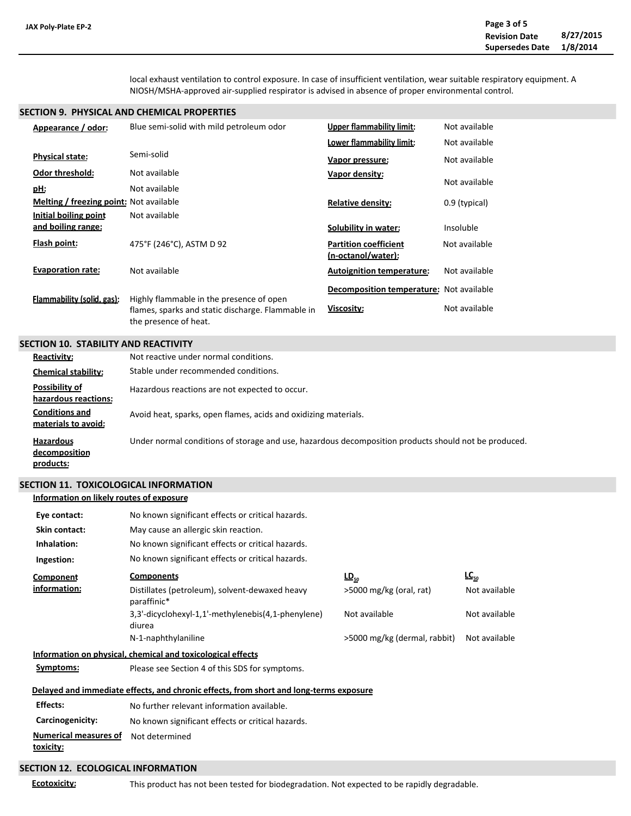local exhaust ventilation to control exposure. In case of insufficient ventilation, wear suitable respiratory equipment. A NIOSH/MSHA-approved air-supplied respirator is advised in absence of proper environmental control.

#### **SECTION 9. PHYSICAL AND CHEMICAL PROPERTIES**

| Appearance / odor:                             | Blue semi-solid with mild petroleum odor                                                                               | <b>Upper flammability limit:</b>                   | Not available |
|------------------------------------------------|------------------------------------------------------------------------------------------------------------------------|----------------------------------------------------|---------------|
|                                                |                                                                                                                        | Lower flammability limit:                          | Not available |
| <b>Physical state:</b>                         | Semi-solid                                                                                                             | Vapor pressure:                                    | Not available |
| Odor threshold:                                | Not available                                                                                                          | Vapor density:                                     |               |
| pH:                                            | Not available                                                                                                          |                                                    | Not available |
| <b>Melting / freezing point: Not available</b> |                                                                                                                        | <b>Relative density:</b>                           | 0.9 (typical) |
| Initial boiling point                          | Not available                                                                                                          |                                                    |               |
| <u>and boiling range:</u>                      |                                                                                                                        | Solubility in water:                               | Insoluble     |
| Flash point:                                   | 475°F (246°C), ASTM D 92                                                                                               | <b>Partition coefficient</b><br>(n-octanol/water): | Not available |
| <b>Evaporation rate:</b>                       | Not available                                                                                                          | <b>Autoignition temperature:</b>                   | Not available |
|                                                |                                                                                                                        | <b>Decomposition temperature:</b> Not available    |               |
| Flammability (solid, gas):                     | Highly flammable in the presence of open<br>flames, sparks and static discharge. Flammable in<br>the presence of heat. | Viscosity:                                         | Not available |

#### **SECTION 10. STABILITY AND REACTIVITY**

| <b>Reactivity:</b>                             | Not reactive under normal conditions.                                                                |
|------------------------------------------------|------------------------------------------------------------------------------------------------------|
| <b>Chemical stability:</b>                     | Stable under recommended conditions.                                                                 |
| Possibility of<br>hazardous reactions:         | Hazardous reactions are not expected to occur.                                                       |
| <b>Conditions and</b><br>materials to avoid:   | Avoid heat, sparks, open flames, acids and oxidizing materials.                                      |
| <b>Hazardous</b><br>decomposition<br>products: | Under normal conditions of storage and use, hazardous decomposition products should not be produced. |

#### **SECTION 11. TOXICOLOGICAL INFORMATION**

#### **Information on likely routes of exposure**

| Eye contact:                                     | No known significant effects or critical hazards.                                      |                              |               |
|--------------------------------------------------|----------------------------------------------------------------------------------------|------------------------------|---------------|
| Skin contact:                                    | May cause an allergic skin reaction.                                                   |                              |               |
| Inhalation:                                      | No known significant effects or critical hazards.                                      |                              |               |
| Ingestion:                                       | No known significant effects or critical hazards.                                      |                              |               |
| <b>Component</b>                                 | <b>Components</b>                                                                      | $LD_{50}$                    | $LC_{50}$     |
| information:                                     | Distillates (petroleum), solvent-dewaxed heavy<br>paraffinic*                          | $>5000$ mg/kg (oral, rat)    | Not available |
|                                                  | 3,3'-dicyclohexyl-1,1'-methylenebis(4,1-phenylene)<br>diurea                           | Not available                | Not available |
|                                                  | N-1-naphthylaniline                                                                    | >5000 mg/kg (dermal, rabbit) | Not available |
|                                                  | Information on physical, chemical and toxicological effects                            |                              |               |
| Symptoms:                                        | Please see Section 4 of this SDS for symptoms.                                         |                              |               |
|                                                  | Delayed and immediate effects, and chronic effects, from short and long-terms exposure |                              |               |
| <b>Effects:</b>                                  | No further relevant information available.                                             |                              |               |
| Carcinogenicity:                                 | No known significant effects or critical hazards.                                      |                              |               |
| <b>Numerical measures of</b><br><u>toxicity:</u> | Not determined                                                                         |                              |               |
| <b>SECTION 12. ECOLOGICAL INFORMATION</b>        |                                                                                        |                              |               |

**Ecotoxicity:**

This product has not been tested for biodegradation. Not expected to be rapidly degradable.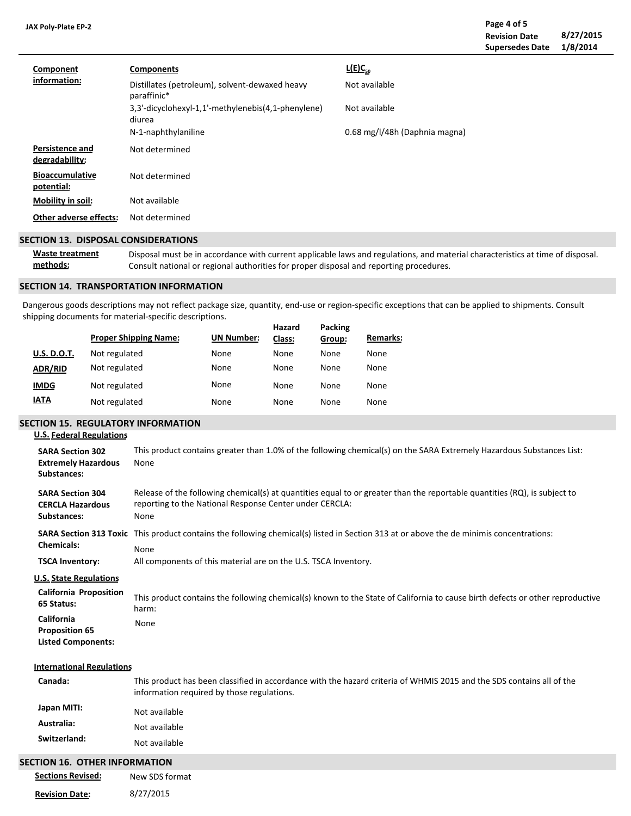**Revision Date 8/27/2015 Supersedes Date 1/8/2014 Page 4 of 5**

| Component<br>information:                | <b>Components</b>                                             | $L(E)C_{50}$                  |
|------------------------------------------|---------------------------------------------------------------|-------------------------------|
|                                          | Distillates (petroleum), solvent-dewaxed heavy<br>paraffinic* | Not available                 |
|                                          | 3,3'-dicyclohexyl-1,1'-methylenebis(4,1-phenylene)<br>diurea  | Not available                 |
|                                          | N-1-naphthylaniline                                           | 0.68 mg/l/48h (Daphnia magna) |
| <b>Persistence and</b><br>degradability: | Not determined                                                |                               |
| <b>Bioaccumulative</b><br>potential:     | Not determined                                                |                               |
| Mobility in soil:                        | Not available                                                 |                               |
| Other adverse effects:                   | Not determined                                                |                               |

#### **SECTION 13. DISPOSAL CONSIDERATIONS**

**Waste treatment methods:** Disposal must be in accordance with current applicable laws and regulations, and material characteristics at time of disposal. Consult national or regional authorities for proper disposal and reporting procedures.

#### **SECTION 14. TRANSPORTATION INFORMATION**

Dangerous goods descriptions may not reflect package size, quantity, end-use or region-specific exceptions that can be applied to shipments. Consult shipping documents for material-specific descriptions.

|                    | <b>Proper Shipping Name:</b> | <b>UN Number:</b> | Hazard<br>Class: | Packing<br>Group: | <b>Remarks:</b> |
|--------------------|------------------------------|-------------------|------------------|-------------------|-----------------|
| <b>U.S. D.O.T.</b> | Not regulated                | None              | None             | None              | None            |
| <b>ADR/RID</b>     | Not regulated                | None              | None             | None              | None            |
| <b>IMDG</b>        | Not regulated                | None              | None             | None              | None            |
| <u>IATA</u>        | Not regulated                | None              | None             | None              | None            |

#### **SECTION 15. REGULATORY INFORMATION**

**SARA Section 304 CERCLA Hazardous Substances: SARA Section 313 Toxic** This product contains the following chemical(s) listed in Section 313 at or above the de minimis concentrations: **Chemicals: TSCA Inventory: California Proposition 65 Status: U.S. Federal Regulations Canada: International Regulations** All components of this material are on the U.S. TSCA Inventory. This product has been classified in accordance with the hazard criteria of WHMIS 2015 and the SDS contains all of the information required by those regulations. None Release of the following chemical(s) at quantities equal to or greater than the reportable quantities (RQ), is subject to reporting to the National Response Center under CERCLA: None **SARA Section 302** This product contains greater than 1.0% of the following chemical(s) on the SARA Extremely Hazardous Substances List: **Extremely Hazardous Substances:** None This product contains the following chemical(s) known to the State of California to cause birth defects or other reproductive harm: **California** None **Proposition 65 Listed Components: U.S. State Regulations**

**Japan MITI: Australia: Switzerland:** Not available Not available Not available

# **SECTION 16. OTHER INFORMATION**

| <b>Sections Revised:</b> | New SDS format |
|--------------------------|----------------|
| <b>Revision Date:</b>    | 8/27/2015      |